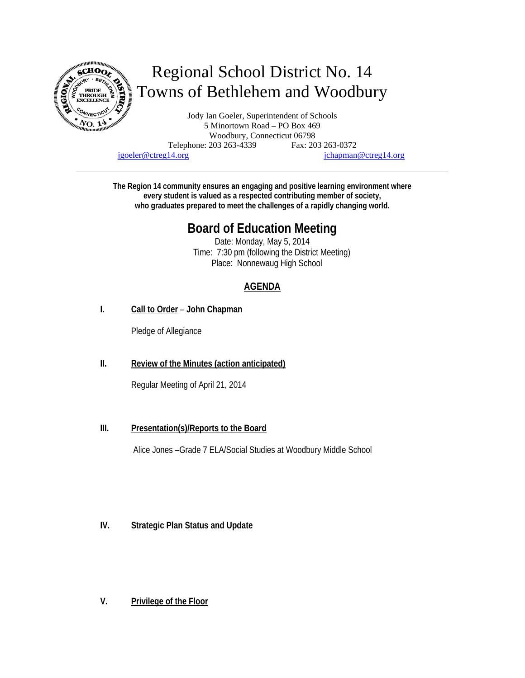

# Regional School District No. 14 Towns of Bethlehem and Woodbury

Jody Ian Goeler, Superintendent of Schools 5 Minortown Road – PO Box 469 Woodbury, Connecticut 06798 Telephone: 203 263-4339 Fax: 203 263-0372 jgoeler@ctreg14.org jchapman@ctreg14.org

**The Region 14 community ensures an engaging and positive learning environment where every student is valued as a respected contributing member of society, who graduates prepared to meet the challenges of a rapidly changing world.** 

# **Board of Education Meeting**

Date: Monday, May 5, 2014 Time: 7:30 pm (following the District Meeting) Place: Nonnewaug High School

## **AGENDA**

**I. Call to Order** – **John Chapman** 

Pledge of Allegiance

**II. Review of the Minutes (action anticipated)** 

Regular Meeting of April 21, 2014

### **III. Presentation(s)/Reports to the Board**

Alice Jones –Grade 7 ELA/Social Studies at Woodbury Middle School

### **IV. Strategic Plan Status and Update**

**V. Privilege of the Floor**